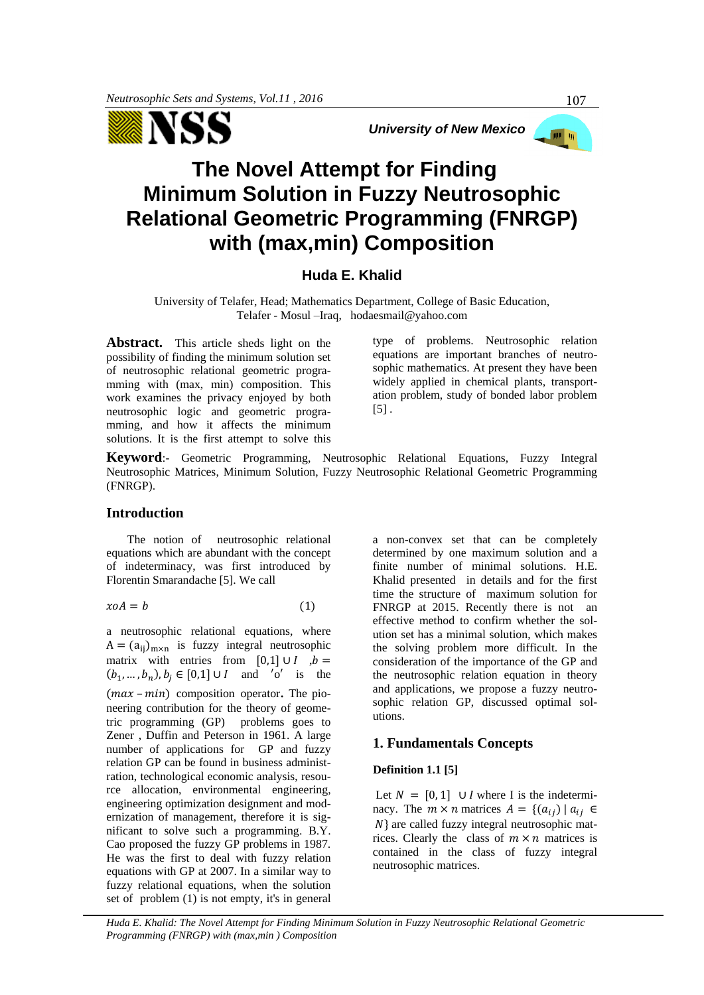

*University of New Mexico*

# **The Novel Attempt for Finding Minimum Solution in Fuzzy Neutrosophic Relational Geometric Programming (FNRGP) with (max,min) Composition**

## **Huda E. Khalid**

University of Telafer, Head; Mathematics Department, College of Basic Education, Telafer - Mosul –Iraq, [hodaesmail@yahoo.com](mailto:hodaesmail@yahoo.com)

**Abstract.** This article sheds light on the possibility of finding the minimum solution set of neutrosophic relational geometric programming with (max, min) composition. This work examines the privacy enjoyed by both neutrosophic logic and geometric programming, and how it affects the minimum solutions. It is the first attempt to solve this type of problems. Neutrosophic relation equations are important branches of neutrosophic mathematics. At present they have been widely applied in chemical plants, transportation problem, study of bonded labor problem  $\lceil 5 \rceil$ .

**Keyword**:- Geometric Programming, Neutrosophic Relational Equations, Fuzzy Integral Neutrosophic Matrices, Minimum Solution, Fuzzy Neutrosophic Relational Geometric Programming (FNRGP).

## **Introduction**

 The notion of neutrosophic relational equations which are abundant with the concept of indeterminacy, was first introduced by Florentin Smarandache [5]. We call

$$
x o A = b \tag{1}
$$

a neutrosophic relational equations, where  $A = (a_{ii})_{m \times n}$  is fuzzy integral neutrosophic matrix with entries from [0,1] ∪ *,*  $*b* =$  $(b_1, ..., b_n)$ ,  $b_j \in [0,1] \cup I$  and 'o' is the  $(max - min)$  composition operator. The pioneering contribution for the theory of geometric programming (GP) problems goes to Zener , Duffin and Peterson in 1961. A large number of applications for GP and fuzzy relation GP can be found in business administration, technological economic analysis, resource allocation, environmental engineering, engineering optimization designment and modernization of management, therefore it is significant to solve such a programming. B.Y. Cao proposed the fuzzy GP problems in 1987. He was the first to deal with fuzzy relation equations with GP at 2007. In a similar way to fuzzy relational equations, when the solution set of problem (1) is not empty, it's in general

a non-convex set that can be completely determined by one maximum solution and a finite number of minimal solutions. H.E. Khalid presented in details and for the first time the structure of maximum solution for FNRGP at 2015. Recently there is not an effective method to confirm whether the solution set has a minimal solution, which makes the solving problem more difficult. In the consideration of the importance of the GP and the neutrosophic relation equation in theory and applications, we propose a fuzzy neutrosophic relation GP, discussed optimal solutions.

## **1. Fundamentals Concepts**

## **Definition 1.1 [5]**

Let  $N = [0, 1]$  ∪ *I* where I is the indeterminacy. The  $m \times n$  matrices  $A = \{(a_{ij}) | a_{ij} \in$  $N$ } are called fuzzy integral neutrosophic matrices. Clearly the class of  $m \times n$  matrices is contained in the class of fuzzy integral neutrosophic matrices.

*Huda E. Khalid: The Novel Attempt for Finding Minimum Solution in Fuzzy Neutrosophic Relational Geometric Programming (FNRGP) with (max,min ) Composition* 

**DE UL**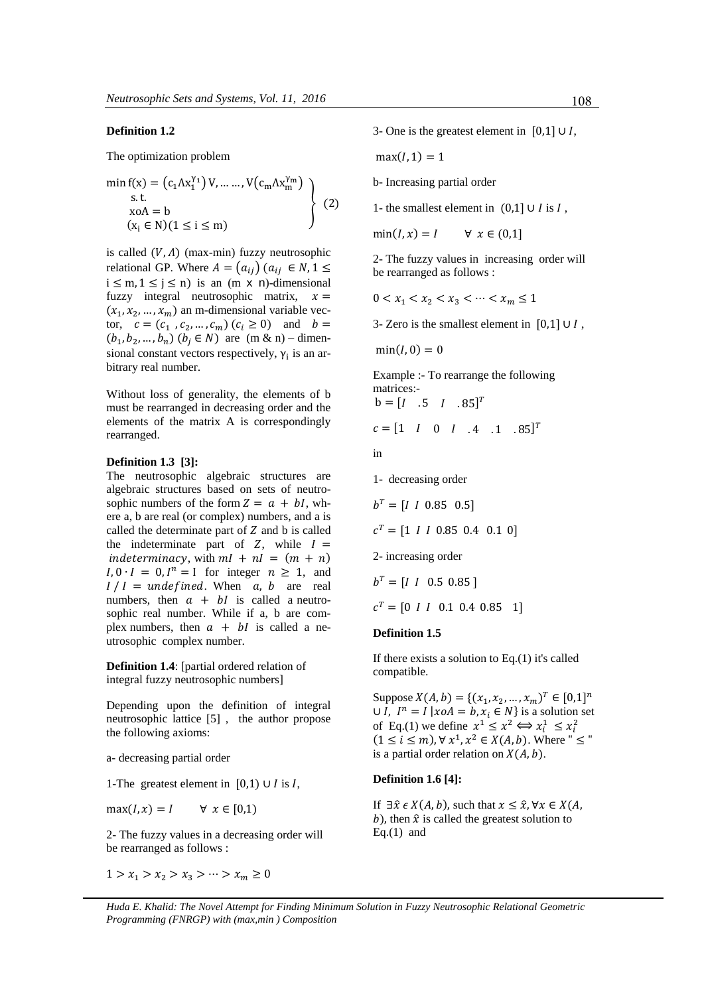## **Definition 1.2**

The optimization problem

$$
\begin{aligned}\n\min f(x) &= \left( c_1 \Lambda x_1^{\gamma_1} \right) V, \dots, V(c_m \Lambda x_m^{\gamma_m}) \\
\text{s.t.} \\
\text{xoA} &= b \\
(x_i \in N)(1 \le i \le m)\n\end{aligned}\n\right\} \tag{2}
$$

is called  $(V, \Lambda)$  (max-min) fuzzy neutrosophic relational GP. Where  $A = (a_{ij}) (a_{ij} \in N, 1 \le$  $i \leq m, 1 \leq j \leq n$ ) is an  $(m \times n)$ -dimensional fuzzy integral neutrosophic matrix,  $x =$  $(x_1, x_2, ..., x_m)$  an m-dimensional variable vector,  $c = (c_1, c_2, ..., c_m) (c_i \ge 0)$  and  $b =$  $(b_1, b_2, ..., b_n)$   $(b_j \in N)$  are  $(m & n)$  – dimensional constant vectors respectively,  $\gamma_i$  is an arbitrary real number.

Without loss of generality, the elements of b must be rearranged in decreasing order and the elements of the matrix A is correspondingly rearranged.

#### **Definition 1.3 [3]:**

The neutrosophic algebraic structures are algebraic structures based on sets of neutrosophic numbers of the form  $Z = a + bl$ , where a, b are real (or complex) numbers, and a is called the determinate part of  $Z$  and  $b$  is called the indeterminate part of  $Z$ , while  $I =$ indeterminacy, with  $ml + nl = (m + n)$  $I, 0 \cdot I = 0, I^n = I$  for integer  $n \ge 1$ , and  $I/I =$  undefined. When a, b are real numbers, then  $a + bl$  is called a neutrosophic real number. While if a, b are complex numbers, then  $a + bl$  is called a neutrosophic complex number.

**Definition 1.4**: [partial ordered relation of integral fuzzy neutrosophic numbers]

Depending upon the definition of integral neutrosophic lattice [5] , the author propose the following axioms:

a- decreasing partial order

1-The greatest element in  $[0,1) \cup I$  is I,

 $max(I, x) = I \qquad \forall x \in [0, 1)$ 

2- The fuzzy values in a decreasing order will be rearranged as follows :

 $1 > x_1 > x_2 > x_3 > \cdots > x_m \ge 0$ 

3- One is the greatest element in  $[0,1]$  ∪ *I*,

$$
\max(I,1)=1
$$

b- Increasing partial order

1- the smallest element in  $(0,1]$  ∪ *I* is *I*,

 $min(I, x) = I$   $\forall x \in (0,1]$ 

2- The fuzzy values in increasing order will be rearranged as follows :

 $0 < x_1 < x_2 < x_3 < \cdots < x_m \leq 1$ 

3- Zero is the smallest element in  $[0,1] \cup I$ ,

 $min(I, 0) = 0$ 

Example :- To rearrange the following matrices:  $b = [I \quad .5 \quad I \quad .85]^T$ 

$$
c = \begin{bmatrix} 1 & I & 0 & I & .4 & .1 & .85 \end{bmatrix}^T
$$

in

1- decreasing order

$$
b^{T} = [I \t 1 \t 0.85 \t 0.5]
$$
  

$$
c^{T} = [1 \t 1 \t 0.85 \t 0.4 \t 0.1 \t 0]
$$
  
2- increasing order

 $b^T = [I \ I \ 0.5 \ 0.85]$ 

$$
c^T = [0 \, I \, I \, 0.1 \, 0.4 \, 0.85 \, 1]
$$

#### **Definition 1.5**

If there exists a solution to Eq.(1) it's called compatible.

Suppose  $X(A, b) = \{(x_1, x_2, ..., x_m)^T \in [0, 1]^n\}$  $\cup I$ ,  $I^n = I | x \circ A = b, x_i \in N$  is a solution set of Eq.(1) we define  $x^1 \le x^2 \Leftrightarrow x_i^1 \le x_i^2$  $(1 \leq i \leq m)$ ,  $\forall x^1, x^2 \in X(A, b)$ . Where "  $\leq$  " is a partial order relation on  $X(A, b)$ .

#### **Definition 1.6 [4]:**

If  $\exists \hat{x} \in X(A, b)$ , such that  $x \leq \hat{x}$ ,  $\forall x \in X(A, b)$ b), then  $\hat{x}$  is called the greatest solution to Eq. $(1)$  and

*Huda E. Khalid: The Novel Attempt for Finding Minimum Solution in Fuzzy Neutrosophic Relational Geometric Programming (FNRGP) with (max,min ) Composition*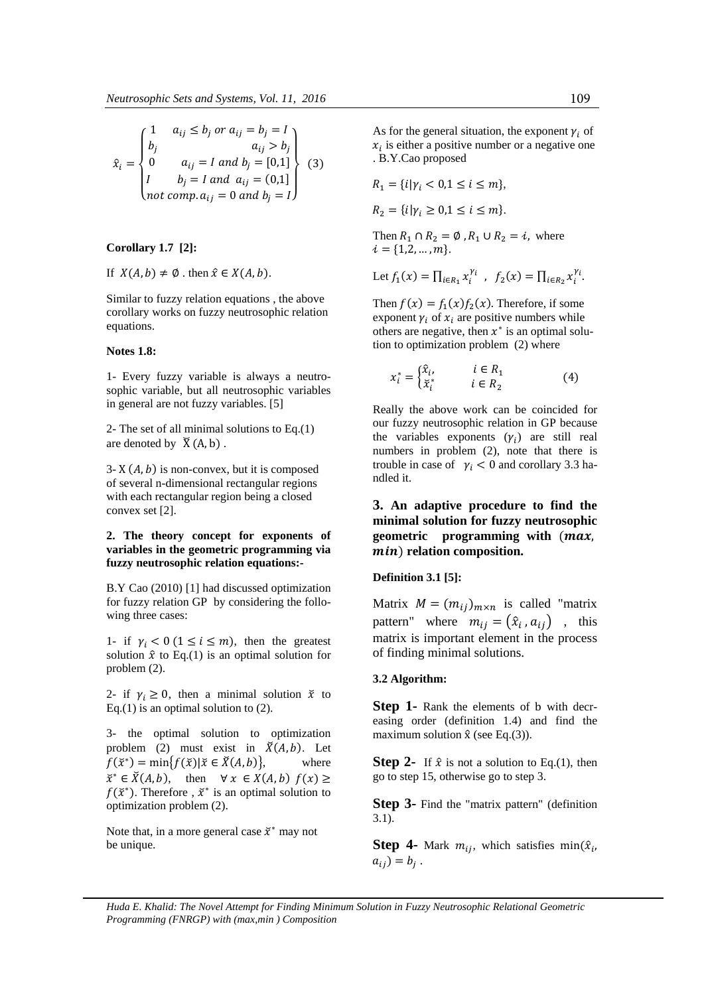$$
\hat{x}_i = \begin{cases}\n1 & a_{ij} \le b_j \text{ or } a_{ij} = b_j = I \\
b_j & a_{ij} > b_j \\
0 & a_{ij} = I \text{ and } b_j = [0,1] \\
I & b_j = I \text{ and } a_{ij} = (0,1] \\
not \text{ comp. } a_{ij} = 0 \text{ and } b_j = I\n\end{cases}
$$
\n(3)

#### **Corollary 1.7 [2]:**

If  $X(A, b) \neq \emptyset$  . then  $\hat{x} \in X(A, b)$ .

Similar to fuzzy relation equations , the above corollary works on fuzzy neutrosophic relation equations.

#### **Notes 1.8:**

1- Every fuzzy variable is always a neutrosophic variable, but all neutrosophic variables in general are not fuzzy variables. [5]

2- The set of all minimal solutions to Eq.(1) are denoted by  $\overline{X}(A, b)$ .

3- X  $(A, b)$  is non-convex, but it is composed of several n-dimensional rectangular regions with each rectangular region being a closed convex set [2].

## **2. The theory concept for exponents of variables in the geometric programming via fuzzy neutrosophic relation equations:-**

B.Y Cao (2010) [1] had discussed optimization for fuzzy relation GP by considering the following three cases:

1- if  $\gamma_i < 0$  (1  $\le i \le m$ ), then the greatest solution  $\hat{x}$  to Eq.(1) is an optimal solution for problem (2).

2- if  $\gamma_i \geq 0$ , then a minimal solution  $\bar{x}$  to Eq.(1) is an optimal solution to  $(2)$ .

3- the optimal solution to optimization problem (2) must exist in  $\breve{X}(A, b)$ . Let  $f(\check{x}^*) = \min\{f(\check{x}) | \check{x} \in \check{X}(A, b)\},\qquad \text{where}$  $\breve{x}^* \in \breve{X}(A, b)$ , then  $\forall x \in X(A, b)$   $f(x) \geq$  $f(\mathbf{x}^*)$ . Therefore,  $\mathbf{x}^*$  is an optimal solution to optimization problem (2).

Note that, in a more general case  $\bar{x}^*$  may not be unique.

As for the general situation, the exponent  $\gamma_i$  of  $x_i$  is either a positive number or a negative one . B.Y.Cao proposed

$$
R_1 = \{i | \gamma_i < 0, 1 \le i \le m \},
$$
\n
$$
R_2 = \{i | \gamma_i \ge 0, 1 \le i \le m \}.
$$

Then  $R_1 \cap R_2 = \emptyset$ ,  $R_1 \cup R_2 = i$ , where  $i = \{1,2,...,m\}.$ 

Let 
$$
f_1(x) = \prod_{i \in R_1} x_i^{\gamma_i}
$$
,  $f_2(x) = \prod_{i \in R_2} x_i^{\gamma_i}$ .

Then  $f(x) = f_1(x) f_2(x)$ . Therefore, if some exponent  $\gamma_i$  of  $x_i$  are positive numbers while others are negative, then  $x^*$  is an optimal solution to optimization problem (2) where

$$
x_i^* = \begin{cases} \hat{x}_i, & i \in R_1 \\ \check{x}_i^* & i \in R_2 \end{cases}
$$
 (4)

Really the above work can be coincided for our fuzzy neutrosophic relation in GP because the variables exponents  $(\gamma_i)$  are still real numbers in problem (2), note that there is trouble in case of  $\gamma_i < 0$  and corollary 3.3 handled it.

## **3. An adaptive procedure to find the minimal solution for fuzzy neutrosophic**  geometric programming with  $(max,$ ) **relation composition.**

**Definition 3.1 [5]:** 

Matrix  $M = (m_{ij})_{m \times n}$  is called "matrix" pattern" where  $m_{ij} = (\hat{x}_i, a_{ij})$ , this matrix is important element in the process of finding minimal solutions.

#### **3.2 Algorithm:**

**Step 1-** Rank the elements of b with decreasing order (definition 1.4) and find the maximum solution  $\hat{x}$  (see Eq.(3)).

**Step 2-** If  $\hat{x}$  is not a solution to Eq.(1), then go to step 15, otherwise go to step 3.

**Step 3-** Find the "matrix pattern" (definition 3.1).

**Step 4-** Mark  $m_{ij}$ , which satisfies min $(\hat{x}_i)$  $a_{ij}) = b_j$ .

*Huda E. Khalid: The Novel Attempt for Finding Minimum Solution in Fuzzy Neutrosophic Relational Geometric Programming (FNRGP) with (max,min ) Composition*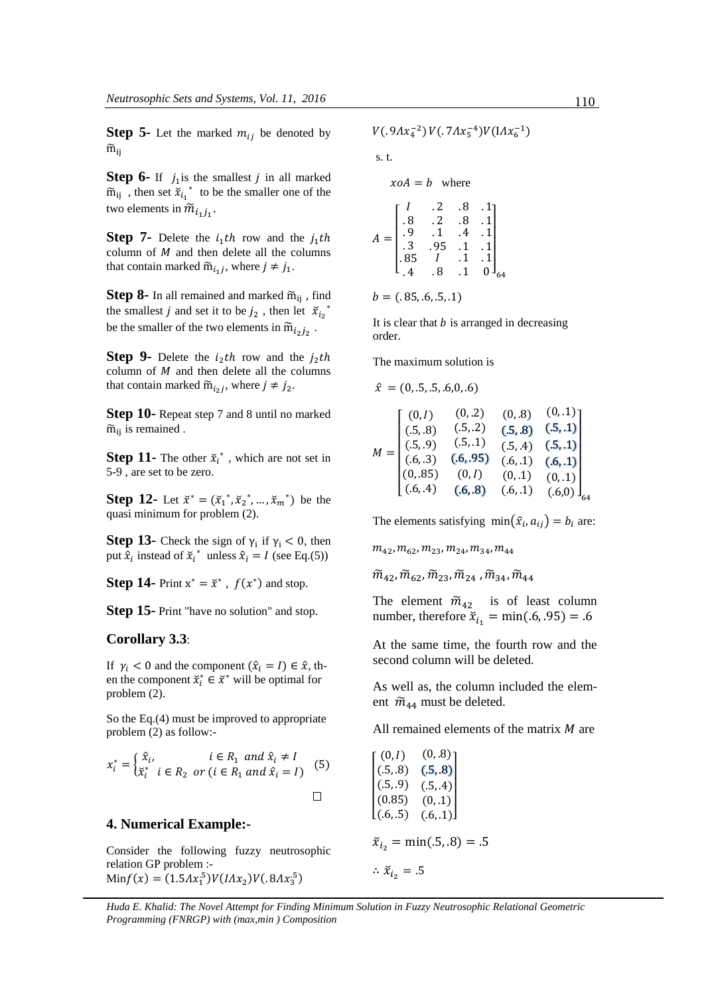**Step 5-** Let the marked  $m_{ij}$  be denoted by  $\widetilde{m}_{ii}$ 

**Step 6-** If  $j_1$  is the smallest  $j$  in all marked  $\widetilde{m}_{ij}$ , then set  $\widetilde{x}_{i_1}^*$  to be the smaller one of the two elements in  $\widetilde{m}_{i_1j_1}$ .

**Step 7-** Delete the  $i_1$ th row and the  $j_1$ th column of  $M$  and then delete all the columns that contain marked  $\widetilde{m}_{i_1j}$ , where  $j \neq j_1$ .

**Step 8-** In all remained and marked  $\widetilde{m}_{ii}$ , find the smallest *j* and set it to be  $j_2$ , then let  $\bar{x}_{i_2}^*$ be the smaller of the two elements in  $\widetilde{m}_{i_2 j_2}$ .

**Step 9-** Delete the  $i_2$ th row and the  $j_2$ th column of  $M$  and then delete all the columns that contain marked  $\widetilde{m}_{i_2j}$ , where  $j \neq j_2$ .

**Step 10-** Repeat step 7 and 8 until no marked  $\widetilde{m}_{ii}$  is remained .

**Step 11-** The other  $\tilde{x}_i^*$ , which are not set in 5-9 , are set to be zero.

**Step 12-** Let  $\bar{x}^* = (\bar{x}_1^*, \bar{x}_2^*, ..., \bar{x}_m^*)$  be the quasi minimum for problem (2).

**Step 13-** Check the sign of  $\gamma_i$  if  $\gamma_i < 0$ , then put  $\hat{x}_i$  instead of  $\tilde{x}_i^*$  unless  $\hat{x}_i = I$  (see Eq.(5))

**Step 14-** Print  $x^* = \bar{x}^*$ ,  $f(x^*)$  and stop.

**Step 15-** Print "have no solution" and stop.

## **Corollary 3.3**:

If  $\gamma_i < 0$  and the component  $(\hat{x}_i = I) \in \hat{x}$ , then the component  $\breve{x}_i^* \in \breve{x}^*$  will be optimal for problem (2).

So the Eq.(4) must be improved to appropriate problem (2) as follow:-

$$
x_i^* = \begin{cases} \hat{x}_i, & i \in R_1 \text{ and } \hat{x}_i \neq I \\ \check{x}_i^* & i \in R_2 \text{ or } (i \in R_1 \text{ and } \hat{x}_i = I) \end{cases}
$$
 (5)

## **4. Numerical Example:-**

Consider the following fuzzy neutrosophic relation GP problem :-  $\text{Min} f(x) = (1.5 \Lambda x_1^5) V(I \Lambda x_2) V(.8 \Lambda x_3^5)$ 

$$
V(.9Ax_4^{-2})V(.7Ax_5^{-4})V(IAx_6^{-1})
$$

s. t.

 $x \circ A = b$  where

$$
A = \begin{bmatrix} I & .2 & .8 & .1 \\ .8 & .2 & .8 & .1 \\ .9 & .1 & .4 & .1 \\ .3 & .95 & .1 & .1 \\ .85 & I & .1 & .1 \\ .4 & .8 & .1 & 0 \end{bmatrix}_{64}
$$

$$
b = (.85, .6, .5, .1)
$$

It is clear that  $b$  is arranged in decreasing

order.

The maximum solution is

$$
\hat{x} = (0,.5,.5,.6,0,.6)
$$

$$
M = \begin{bmatrix} (0, I) & (0, .2) & (0, .8) & (0, .1) \\ (.5, .8) & (.5, .2) & (.5, .8) & (.5, .1) \\ (.5, .9) & (.5, .1) & (.5, .4) & (.5, .1) \\ (.6, .3) & (.6, .95) & (.6, .1) & (.6, .1) \\ (0, .85) & (0, I) & (0, .1) & (0, .1) \\ (.6, .4) & (.6, .8) & (.6, .1) & (.6, 0) \end{bmatrix}_{64}
$$

The elements satisfying  $\min(\hat{x}_i, a_{ij}) = b_i$  are:

 $m_{42}$ ,  $m_{62}$ ,  $m_{23}$ ,  $m_{24}$ ,  $m_{34}$ ,  $m_{44}$ 

 $\widetilde{m}_{42}, \widetilde{m}_{62}, \widetilde{m}_{23}, \widetilde{m}_{24}, \widetilde{m}_{34}, \widetilde{m}_{44}$ 

The element  $\widetilde{m}_{42}$  is of least column number, therefore  $\bar{x}_{i_1} = \min(.6, .95) = .6$ 

At the same time, the fourth row and the second column will be deleted.

As well as, the column included the element  $\widetilde{m}_{44}$  must be deleted.

All remained elements of the matrix  $M$  are

| $\left[ (0, I) \right]$ | $(0, .8)$ ] |
|-------------------------|-------------|
| (0.5, 0.8)              | (.5, .8)    |
| (0.5, 0.9)              | (.5, .4)    |
| (0.85)                  | (0, .1)     |
| (0.6, .5)               | (.6, .1)    |

$$
\bar{x}_{i_2} = \min(.5, .8) = .5
$$

$$
\therefore \; \breve{x}_{i_2} = .5
$$

*Huda E. Khalid: The Novel Attempt for Finding Minimum Solution in Fuzzy Neutrosophic Relational Geometric Programming (FNRGP) with (max,min ) Composition*